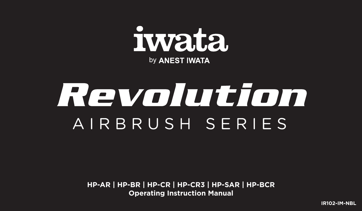

# Revolution AIRBRUSH SERIES

**HP-AR | HP-BR | HP-CR | HP-CR3 | HP-SAR | HP-BCR Operating Instruction Manual**

**IR102-IM-NBL**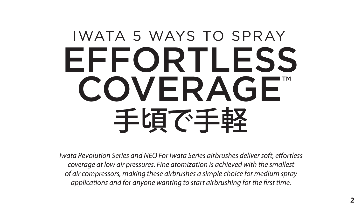# **IWATA 5 WAYS TO SPRAY EFFORTLESS COVERAGE** 手頃で手軽

*Iwata Revolution Series and NEO For Iwata Series airbrushes deliver soft, effortless coverage at low air pressures. Fine atomization is achieved with the smallest of air compressors, making these airbrushes a simple choice for medium spray applications and for anyone wanting to start airbrushing for the first time.*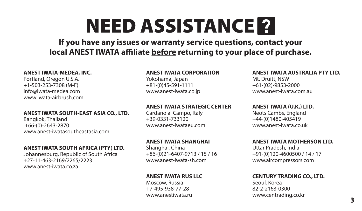### NEED ASSISTANCE

**If you have any issues or warranty service questions, contact your local ANEST IWATA affiliate before returning to your place of purchase.** 

#### **ANEST IWATA-MEDEA, INC.**

Portland, Oregon U.S.A. +1-503-253-7308 (M-F) info@iwata-medea.com www.iwata-airbrush.com

#### **ANEST IWATA SOUTH-EAST ASIA CO., LTD.**

Bangkok, Thailand +66-(0)-2643-2870 www.anest-iwatasoutheastasia.com

#### **ANEST IWATA SOUTH AFRICA (PTY) LTD.**

Johannesburg, Republic of South Africa +27-11-463-2169/2265/2223 www.anest-iwata.co.za

#### **ANEST IWATA CORPORATION**

Yokohama, Japan +81-(0)45-591-1111 www.anest-iwata.co.jp

#### **ANEST IWATA STRATEGIC CENTER**

Cardano al Campo, Italy +39-0331-733120 www.anest-iwataeu.com

#### **ANEST IWATA SHANGHAI**

Shanghai, China +86-(0)21-6407-9713 / 15 / 16 www.anest-iwata-sh.com

#### **ANEST IWATA RUS LLC**

Moscow, Russia +7-495-938-77-28 www.anestiwata.ru

#### **ANEST IWATA AUSTRALIA PTY LTD.**

Mt. Druitt, NSW +61-(02)-9853-2000 www.anest-iwata.com.au

#### **ANEST IWATA (U.K.) LTD.**

Neots Cambs, England +44-(0)1480-405419 www.anest-iwata.co.uk

#### **ANEST IWATA MOTHERSON LTD.**

Uttar Pradesh, India +91-(0)120-4600500 / 14 / 17 www.aircompressors.com

#### **CENTURY TRADING CO., LTD.**

Seoul, Korea 82-2-2163-0300 www.centrading.co.kr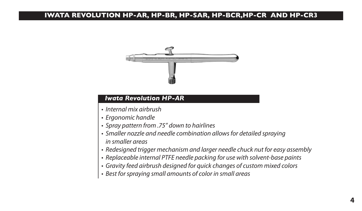#### **IWATA REVOLUTION HP-AR, HP-BR, HP-SAR, HP-BCR,HP-CR AND HP-CR3**



#### *Iwata Revolution HP-AR*

- *Internal mix airbrush*
- *Ergonomic handle*
- *Spray pattern from .75" down to hairlines*
- *Smaller nozzle and needle combination allows for detailed spraying in smaller areas*
- *Redesigned trigger mechanism and larger needle chuck nut for easy assembly*
- *Replaceable internal PTFE needle packing for use with solvent-base paints*
- *Gravity feed airbrush designed for quick changes of custom mixed colors*
- *Best for spraying small amounts of color in small areas*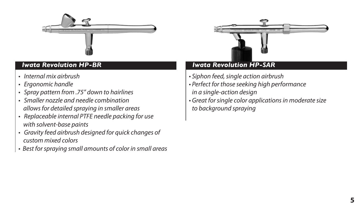

- *Internal mix airbrush*
- *Ergonomic handle*
- *Spray pattern from .75" down to hairlines*
- *Smaller nozzle and needle combination allows for detailed spraying in smaller areas*
- *Replaceable internal PTFE needle packing for use with solvent-base paints*
- *Gravity feed airbrush designed for quick changes of custom mixed colors*
- *Best for spraying small amounts of color in small areas*



#### *Iwata Revolution HP-BR Iwata Revolution HP-SAR*

- *Siphon feed, single action airbrush*
- *Perfect for those seeking high performance in a single-action design*
- *Great for single color applications in moderate size to background spraying*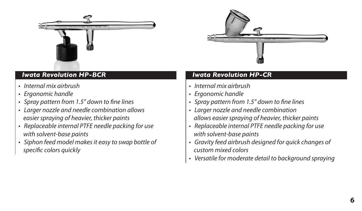

#### *Iwata Revolution HP-BCR*

- *Internal mix airbrush*
- *Ergonomic handle*
- *Spray pattern from 1.5" down to fine lines*
- *Larger nozzle and needle combination allows easier spraying of heavier, thicker paints*
- *Replaceable internal PTFE needle packing for use with solvent-base paints*
- *Siphon feed model makes it easy to swap bottle of specific colors quickly*



#### *Iwata Revolution HP-CR*

- *Internal mix airbrush*
- *Ergonomic handle*
- *Spray pattern from 1.5" down to fine lines*
- *Larger nozzle and needle combination allows easier spraying of heavier, thicker paints*
- *Replaceable internal PTFE needle packing for use with solvent-base paints*
- *Gravity feed airbrush designed for quick changes of custom mixed colors*
- *Versatile for moderate detail to background spraying*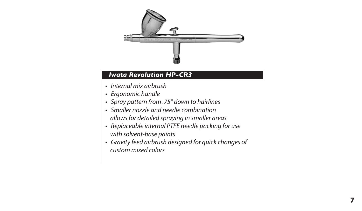

#### *Iwata Revolution HP-CR3*

- *Internal mix airbrush*
- *Ergonomic handle*
- *Spray pattern from .75" down to hairlines*
- *Smaller nozzle and needle combination allows for detailed spraying in smaller areas*
- *Replaceable internal PTFE needle packing for use with solvent-base paints*
- *Gravity feed airbrush designed for quick changes of custom mixed colors*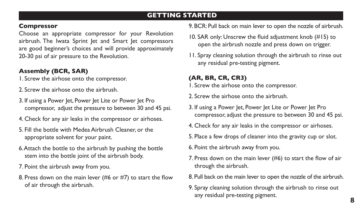#### **GETTING STARTED**

#### **Compressor**

Choose an appropriate compressor for your Revolution airbrush. The Iwata Sprint Jet and Smart Jet compressors are good beginner's choices and will provide approximately 20-30 psi of air pressure to the Revolution.

#### **Assembly (BCR, SAR)**

1. Screw the airhose onto the compressor.

- 2. Screw the airhose onto the airbrush.
- 3. If using a Power Jet, Power Jet Lite or Power Jet Pro compressor, adjust the pressure to between 30 and 45 psi.
- 4. Check for any air leaks in the compressor or airhoses.
- 5. Fill the bottle with Medea Airbrush Cleaner, or the appropriate solvent for your paint.
- 6. Attach the bottle to the airbrush by pushing the bottle stem into the bottle joint of the airbrush body.
- 7. Point the airbrush away from you.
- 8. Press down on the main lever (#6 or #7) to start the flow of air through the airbrush.
- 9. BCR: Pull back on main lever to open the nozzle of airbrush.
- 10. SAR only: Unscrew the fluid adjustment knob (#15) to open the airbrush nozzle and press down on trigger.
- 11. Spray cleaning solution through the airbrush to rinse out any residual pre-testing pigment.

#### **(AR, BR, CR, CR3)**

- 1. Screw the airhose onto the compressor.
- 2. Screw the airhose onto the airbrush.
- 3. If using a Power Jet, Power Jet Lite or Power Jet Pro compressor, adjust the pressure to between 30 and 45 psi.
- 4. Check for any air leaks in the compressor or airhoses.
- 5. Place a few drops of cleaner into the gravity cup or slot.
- 6. Point the airbrush away from you.
- 7. Press down on the main lever (#6) to start the flow of air through the airbrush.
- 8. Pull back on the main lever to open the nozzle of the airbrush.
- 9. Spray cleaning solution through the airbrush to rinse out any residual pre-testing pigment.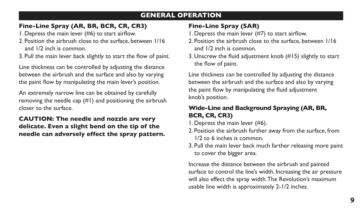#### **GENERAL OPERATION**

#### **Fine-Line Spray (AR, BR, BCR, CR, CR3)**

- 1. Depress the main lever (#6) to start airflow.
- 2. Position the airbrush close to the surface, between 1/16 and 1/2 inch is common.

3. Pull the main lever back slightly to start the flow of paint.

Line thickness can be controlled by adjusting the distance between the airbrush and the surface and also by varying the paint flow by manipulating the main lever's position.

An extremely narrow line can be obtained by carefully removing the needle cap (#1) and positioning the airbrush closer to the surface.

#### **CAUTION: The needle and nozzle are very delicate. Even a slight bend on the tip of the needle can adversely effect the spray pattern.**

#### **Fine-Line Spray (SAR)**

- 1. Depress the main lever (#7) to start airflow.
- 2. Position the airbrush close to the surface, between 1/16 and 1/2 inch is common.
- 3. Unscrew the fluid adjustment knob (#15) slightly to start the flow of paint.

Line thickness can be controlled by adjusting the distance between the airbrush and the surface and also by varying the paint flow by manipulating the fluid adjustment knob's position.

#### **Wide-Line and Background Spraying (AR, BR, BCR, CR, CR3)**

- 1. Depress the main lever (#6).
- 2. Position the airbrush further away from the surface, from 1/2 to 6 inches is common.
- 3. Pull the main lever back much farther releasing more paint to cover the bigger area.

Increase the distance between the airbrush and painted surface to control the line's width. Increasing the air pressure will also effect the spray width. The Revolution's maximum usable line width is approximately 2-1/2 inches.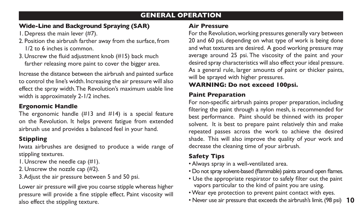#### **GENERAL OPERATION**

#### **Wide-Line and Background Spraying (SAR)**

1. Depress the main lever (#7).

- 2. Position the airbrush farther away from the surface, from 1/2 to 6 inches is common.
- 3. Unscrew the fluid adjustment knob (#15) back much farther releasing more paint to cover the bigger area.

Increase the distance between the airbrush and painted surface to control the line's width. Increasing the air pressure will also effect the spray width. The Revolution's maximum usable line width is approximately 2-1/2 inches.

#### **Ergonomic Handle**

The ergonomic handle  $(\#13 \text{ and } \#14)$  is a special feature on the Revolution. It helps prevent fatigue from extended airbrush use and provides a balanced feel in your hand.

#### **Stippling**

Iwata airbrushes are designed to produce a wide range of stippling textures.

- 1. Unscrew the needle cap (#1).
- 2. Unscrew the nozzle cap (#2).
- 3. Adjust the air pressure between 5 and 50 psi.

Lower air pressure will give you coarse stipple whereas higher pressure will provide a fine stipple effect. Paint viscosity will also effect the stippling texture.

#### **Air Pressure**

For the Revolution, working pressures generally vary between 20 and 60 psi, depending on what type of work is being done and what textures are desired. A good working pressure may average around 25 psi. The viscosity of the paint and your desired spray characteristics will also effect your ideal pressure. As a general rule, larger amounts of paint or thicker paints, will be sprayed with higher pressures.

#### **WARNING: Do not exceed 100psi.**

#### **Paint Preparation**

For non-specific airbrush paints proper preparation, including filtering the paint through a nylon mesh, is recommended for best performance. Paint should be thinned with its proper solvent. It is best to prepare paint relatively thin and make repeated passes across the work to achieve the desired shade. This will also improve the quality of your work and decrease the cleaning time of your airbrush.

#### **Safety Tips**

- Always spray in a well-ventilated area.
- Do not spray solvent-based (flammable) paints around open flames.
- Use the appropriate respirator to safely filter out the paint vapors particular to the kind of paint you are using.
- Wear eye protection to prevent paint contact with eyes.
- Never use air pressure that exceeds the airbrush's limit. (98 psi) **10**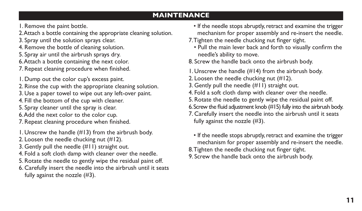#### **MAINTENANCE**

- 1. Remove the paint bottle.
- 2. Attach a bottle containing the appropriate cleaning solution.
- 3. Spray until the solution sprays clear.
- 4. Remove the bottle of cleaning solution.
- 5. Spray air until the airbrush sprays dry.
- 6. Attach a bottle containing the next color.
- 7. Repeat cleaning procedure when finished.
- 1. Dump out the color cup's excess paint.
- 2. Rinse the cup with the appropriate cleaning solution. 3. Use a paper towel to wipe out any left-over paint. 4. Fill the bottom of the cup with cleaner.
- 5. Spray cleaner until the spray is clear.
- 6. Add the next color to the color cup.
- 7. Repeat cleaning procedure when finished.
- 1. Unscrew the handle (#13) from the airbrush body.
- 2. Loosen the needle chucking nut (#12).
- 3. Gently pull the needle (#11) straight out.
- 4. Fold a soft cloth damp with cleaner over the needle.
- 5. Rotate the needle to gently wipe the residual paint off.
- 6. Carefully insert the needle into the airbrush until it seats fully against the nozzle (#3).
- If the needle stops abruptly, retract and examine the trigger mechanism for proper assembly and re-insert the needle.
- 7. Tighten the needle chucking nut finger tight.
	- Pull the main lever back and forth to visually confirm the needle's ability to move.
- 8. Screw the handle back onto the airbrush body.
- 1. Unscrew the handle (#14) from the airbrush body.
- 2. Loosen the needle chucking nut (#12).
- 3. Gently pull the needle  $(\#I\bar{I})$  straight out.
- 4. Fold a soft cloth damp with cleaner over the needle.
- 5. Rotate the needle to gently wipe the residual paint off.
- 6. Screw the fluid adjustment knob (#15) fully into the airbrush body.
- 7. Carefully insert the needle into the airbrush until it seats fully against the nozzle (#3).
	- If the needle stops abruptly, retract and examine the trigger mechanism for proper assembly and re-insert the needle.
- 8. Tighten the needle chucking nut finger tight.
- 9. Screw the handle back onto the airbrush body.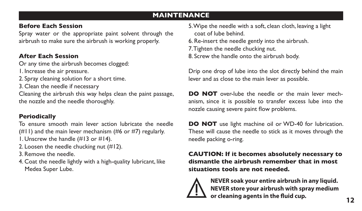#### **MAINTENANCE**

#### **Before Each Session**

Spray water or the appropriate paint solvent through the airbrush to make sure the airbrush is working properly.

#### **After Each Session**

Or any time the airbrush becomes clogged:

- 1. Increase the air pressure.
- 2. Spray cleaning solution for a short time.
- 3. Clean the needle if necessary

Cleaning the airbrush this way helps clean the paint passage, the nozzle and the needle thoroughly.

#### **Periodically**

To ensure smooth main lever action lubricate the needle  $(\#11)$  and the main lever mechanism (#6 or #7) regularly. 1. Unscrew the handle (#13 or #14).

2. Loosen the needle chucking nut (#12).

3. Remove the needle.

4. Coat the needle lightly with a high-quality lubricant, like Medea Super Lube.

- 5. Wipe the needle with a soft, clean cloth, leaving a light coat of lube behind.
- 6. Re-insert the needle gently into the airbrush.
- 7. Tighten the needle chucking nut.
- 8. Screw the handle onto the airbrush body.

Drip one drop of lube into the slot directly behind the main lever and as close to the main lever as possible.

**DO NOT** over-lube the needle or the main lever mechanism, since it is possible to transfer excess lube into the nozzle causing severe paint flow problems.

**DO NOT** use light machine oil or WD-40 for lubrication. These will cause the needle to stick as it moves through the needle packing o-ring.

#### **CAUTION: If it becomes absolutely necessary to dismantle the airbrush remember that in most situations tools are not needed.**



**NEVER soak your entire airbrush in any liquid. NEVER store your airbrush with spray medium or cleaning agents in the fluid cup.**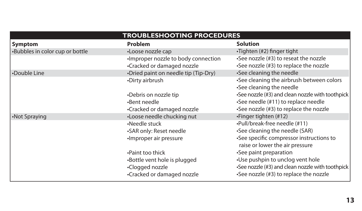| <b>TROUBLESHOOTING PROCEDURES</b> |                                                                  |                                                                                 |  |  |  |  |  |  |
|-----------------------------------|------------------------------------------------------------------|---------------------------------------------------------------------------------|--|--|--|--|--|--|
| Symptom                           | Problem                                                          | <b>Solution</b>                                                                 |  |  |  |  |  |  |
| •Bubbles in color cup or bottle   | •Loose nozzle cap                                                | •Tighten (#2) finger tight                                                      |  |  |  |  |  |  |
|                                   | Improper nozzle to body connection<br>•Cracked or damaged nozzle | •See nozzle (#3) to reseat the nozzle<br>•See nozzle (#3) to replace the nozzle |  |  |  |  |  |  |
| •Double Line                      | •Dried paint on needle tip (Tip-Dry)                             | •See cleaning the needle                                                        |  |  |  |  |  |  |
|                                   | •Dirty airbrush                                                  | •See cleaning the airbrush between colors<br>•See cleaning the needle           |  |  |  |  |  |  |
|                                   | •Debris on nozzle tip                                            | •See nozzle (#3) and clean nozzle with toothpick                                |  |  |  |  |  |  |
|                                   | •Bent needle                                                     | •See needle (#11) to replace needle                                             |  |  |  |  |  |  |
|                                   | •Cracked or damaged nozzle                                       | •See nozzle (#3) to replace the nozzle                                          |  |  |  |  |  |  |
| •Not Spraying                     | •Loose needle chucking nut                                       | •Finger tighten (#12)                                                           |  |  |  |  |  |  |
|                                   | •Needle stuck                                                    | •Pull/break-free needle (#11)                                                   |  |  |  |  |  |  |
|                                   | •SAR only: Reset needle                                          | •See cleaning the needle (SAR)                                                  |  |  |  |  |  |  |
|                                   | Improper air pressure                                            | •See specific compressor instructions to<br>raise or lower the air pressure     |  |  |  |  |  |  |
|                                   | .Paint too thick                                                 | •See paint preparation                                                          |  |  |  |  |  |  |
|                                   | •Bottle vent hole is plugged                                     | •Use pushpin to unclog vent hole                                                |  |  |  |  |  |  |
|                                   | •Clogged nozzle                                                  | •See nozzle (#3) and clean nozzle with toothpick                                |  |  |  |  |  |  |
|                                   | •Cracked or damaged nozzle                                       | •See nozzle (#3) to replace the nozzle                                          |  |  |  |  |  |  |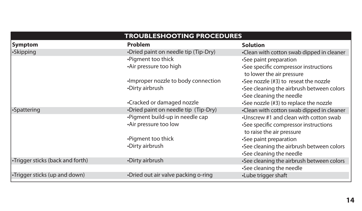| <b>TROUBLESHOOTING PROCEDURES</b>      |                                      |                                                                       |  |  |  |  |  |  |
|----------------------------------------|--------------------------------------|-----------------------------------------------------------------------|--|--|--|--|--|--|
| Symptom                                | Problem                              | <b>Solution</b>                                                       |  |  |  |  |  |  |
| ·Skipping                              | •Dried paint on needle tip (Tip-Dry) | •Clean with cotton swab dipped in cleaner                             |  |  |  |  |  |  |
|                                        | •Pigment too thick                   | •See paint preparation                                                |  |  |  |  |  |  |
|                                        | •Air pressure too high               | •See specific compressor instructions<br>to lower the air pressure    |  |  |  |  |  |  |
|                                        | ·Improper nozzle to body connection  | •See nozzle (#3) to reseat the nozzle                                 |  |  |  |  |  |  |
|                                        | •Dirty airbrush                      | •See cleaning the airbrush between colors<br>•See cleaning the needle |  |  |  |  |  |  |
|                                        | •Cracked or damaged nozzle           | •See nozzle (#3) to replace the nozzle                                |  |  |  |  |  |  |
| Spattering-                            | •Dried paint on needle tip (Tip-Dry) | •Clean with cotton swab dipped in cleaner                             |  |  |  |  |  |  |
|                                        | •Pigment build-up in needle cap      | .Unscrew #1 and clean with cotton swab                                |  |  |  |  |  |  |
|                                        | •Air pressure too low                | •See specific compressor instructions<br>to raise the air pressure    |  |  |  |  |  |  |
|                                        | •Pigment too thick                   | •See paint preparation                                                |  |  |  |  |  |  |
|                                        | •Dirty airbrush                      | •See cleaning the airbrush between colors<br>•See cleaning the needle |  |  |  |  |  |  |
| <b>Trigger sticks (back and forth)</b> | •Dirty airbrush                      | •See cleaning the airbrush between colors                             |  |  |  |  |  |  |
|                                        |                                      | •See cleaning the needle                                              |  |  |  |  |  |  |
| <b>Trigger sticks (up and down)</b>    | •Dried out air valve packing o-ring  | •Lube trigger shaft                                                   |  |  |  |  |  |  |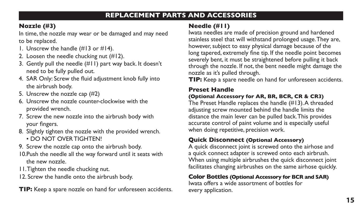#### **REPLACEMENT PARTS AND ACCESSORIES**

### **Nozzle (#3)**

In time, the nozzle may wear or be damaged and may need to be replaced.

- 1. Unscrew the handle (#13 or #14).
- 2. Loosen the needle chucking nut (#12).
- 3. Gently pull the needle (#11) part way back. It doesn't need to be fully pulled out.
- 4. SAR Only: Screw the fluid adjustment knob fully into the airbrush body.
- 5. Unscrew the nozzle cap (#2)
- 6. Unscrew the nozzle counter-clockwise with the provided wrench.
- 7. Screw the new nozzle into the airbrush body with your fingers.
- 8. Slightly tighten the nozzle with the provided wrench. • DO NOT OVER TIGHTEN!
- 9. Screw the nozzle cap onto the airbrush body.
- 10.Push the needle all the way forward until it seats with the new nozzle.
- 11. Tighten the needle chucking nut.
- 12. Screw the handle onto the airbrush body.

**TIP:** Keep a spare nozzle on hand for unforeseen accidents.

#### **Needle (#11)**

Iwata needles are made of precision ground and hardened stainless steel that will withstand prolonged usage. They are, however, subject to easy physical damage because of the long tapered, extremely fine tip. If the needle point becomes severely bent, it must be straightened before pulling it back through the nozzle. If not, the bent needle might damage the nozzle as it's pulled through.

**TIP:** Keep a spare needle on hand for unforeseen accidents.

#### **Preset Handle**

#### **(Optional Accessory for AR, BR, BCR, CR & CR3)**

The Preset Handle replaces the handle (#13). A threaded adjusting screw mounted behind the handle limits the distance the main lever can be pulled back. This provides accurate control of paint volume and is especially useful when doing repetitive, precision work.

#### **Quick Disconnect (Optional Accessory)**

A quick disconnect joint is screwed onto the airhose and a quick connect adapter is screwed onto each airbrush. When using multiple airbrushes the quick disconnect joint facilitates changing airbrushes on the same airhose quickly.

#### **Color Bottles (Optional Accessory for BCR and SAR)**

Iwata offers a wide assortment of bottles for every application.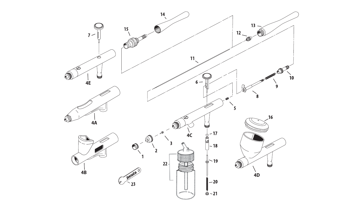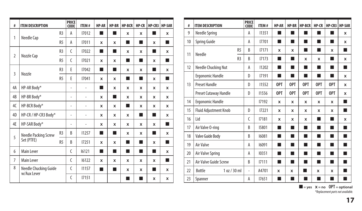| $\#$                     | <b>ITEM DESCRIPTION</b>              |                | <b>PRICE</b><br>CODE | ITEM#                    | <b>HP-AR</b> | HP-BR | <b>HP-BCR</b> | HP-CR       | HP-CR3 | <b>HP-SAR</b> |
|--------------------------|--------------------------------------|----------------|----------------------|--------------------------|--------------|-------|---------------|-------------|--------|---------------|
| 1                        | Needle Cap                           | R3             | A                    | 17012                    | п            | ٦     | x             | $\mathbf x$ | ٦      | x             |
|                          |                                      | R <sub>5</sub> | A                    | 17011                    | x            | x     | ш             | ш           | x      | ш             |
| $\overline{\phantom{a}}$ | Nozzle Cap                           | R3             | $\epsilon$           | 17022                    | ■            | п     | x             | $\mathbf x$ | п      | x             |
|                          |                                      | R <sub>5</sub> | $\epsilon$           | 17021                    | x            | x     | ш             | ш           | x      | ш             |
| $\overline{3}$           | Nozzle                               | R <sub>3</sub> | F                    | 17042                    | ш            | п     | x             | $\mathbf x$ | п      | x             |
|                          |                                      | R <sub>5</sub> | F                    | 17041                    | x            | x     | п             | п           | x      | п             |
| 4A                       | HP-AR Body*                          |                | ٠                    | $\overline{\phantom{m}}$ | п            | x     | x             | $\mathbf x$ | x      | x             |
| 4B                       | HP-BR Body*                          |                | ٠                    | ٠                        | x            | п     | $\mathbf x$   | $\mathbf x$ | x      | x             |
| 4C                       | HP-BCR Body*                         |                | ٠                    | ٠                        | x            | x     | п             | $\mathbf x$ | x      | x             |
| 4D                       | HP-CR / HP-CR3 Body*                 |                | ٠                    | ٠                        | x            | x     | x             | ■           | п      | x             |
| 4F                       | HP-SAR Body*                         |                | ٠                    | ٠                        | x            | x     | x             | $\mathbf x$ | x      | ٦             |
| 5                        | Needle Packing Screw<br>Set (PTFE)   | R <sub>3</sub> | B                    | 11257                    | ш            | ш     | x             | x           | ш      | x             |
|                          |                                      | R <sub>5</sub> | B                    | 17251                    | x            | x     | ш             | ш           | x      | п             |
| 6                        | Main Lever                           |                | $\epsilon$           | 16121                    | ш            | ш     | ۰             | ۰           | ۰      | x             |
| 7                        | Main Lever                           |                | $\epsilon$           | 16122                    | x            | x     | x             | $\mathbf x$ | x      | ш             |
| 8                        | Needle Chucking Guide<br>w/Aux Lever |                | $\epsilon$           | 11157                    | п            | п     | x             | $\mathbf x$ | п      | x             |
|                          |                                      |                | C                    | 17151                    |              |       | ٦             | ۰           | x      | x             |

| #  | <b>ITEM DESCRIPTION</b>       |                | <b>PRICE</b><br>CODE | ITEM# | <b>HP-AR</b> | HP-BR | <b>HP-BCR</b> | HP-CR       | HP-CR3     | <b>HP-SAR</b> |
|----|-------------------------------|----------------|----------------------|-------|--------------|-------|---------------|-------------|------------|---------------|
| 9  | <b>Needle Spring</b>          |                | A                    | 11351 | ■            | ▄     | ■             | ■           | п          | x             |
| 10 | Spring Guide                  |                | A                    | 17701 | ▬            | ■     | ■             | ■           | ш          | x             |
| 11 | Needle                        | R <sub>5</sub> | B                    | 17171 | x            | x     | ■             | ▄           | x          | ш             |
|    |                               | R3             | B                    | 17173 | ■            | ■     | x             | $\mathbf x$ | ш          | x             |
| 12 | Needle Chucking Nut           |                | A                    | 11202 | ■            | ▄     | ■             | ■           | ш          | п             |
|    | Ergonomic Handle              |                | D                    | 17191 | ▬            | ■     | ■             | ш           | ш          | x             |
| 13 | <b>Preset Handle</b>          |                | D                    | 11552 | <b>OPT</b>   | 0PT   | 0PT           | <b>OPT</b>  | <b>OPT</b> | x             |
|    | Preset Cutaway Handle         |                | D                    | 11556 | <b>OPT</b>   | 0PT   | 0PT           | <b>OPT</b>  | <b>OPT</b> | x             |
| 14 | <b>Ergonomic Handle</b>       |                |                      | 17192 | x            | x     | x             | x           | x          | п             |
| 15 | Fluid Adjustment Knob         |                | D                    | 17221 | x            | x     | x             | x           | x          | п             |
| 16 | Lid                           |                | C                    | 17181 | x            | x     | x             | ш           | ■          | x             |
| 17 | Air Valve O-ring              |                | B                    | 15801 | -            | ▬     | п             | ш           | ш          | п             |
| 18 | Valve Guide Body              |                | B                    | 16081 | ۰            | ■     | ш             | ■           | ٦          | ш             |
| 19 | Air Valve                     |                | Α                    | 16091 | -            | ■     | ■             | ш           | ш          | ш             |
| 20 | Air Valve Spring              |                | A                    | 10351 | -            | ш     | ш             | ш           | ш          | п             |
| 21 | Air Valve Guide Screw         |                | B                    | 17111 | -            | ▬     | ш             | ш           | ш          | ш             |
| 22 | <b>Bottle</b><br>1 oz / 30 ml |                | ä,                   | A4701 | x            | x     | ■             | x           | x          | п             |
| 23 | Spanner                       |                | A                    | 17651 | ٠            | ▬     | ш             | ■           | ■          | п             |

*\*Replacement parts not available.* n **= yes x = no OPT = optional**